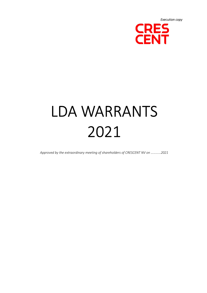

# LDA WARRANTS 2021

Approved by the extraordinary meeting of shareholders of CRESCENT NV on …………2021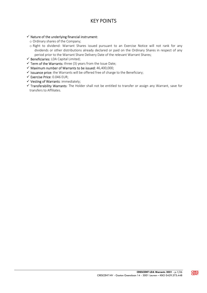# KEY POINTS

#### $\checkmark$  Nature of the underlying financial instrument:

- o Ordinary shares of the Company;
- o Right to dividend: Warrant Shares issued pursuant to an Exercise Notice will not rank for any dividends or other distributions already declared or paid on the Ordinary Shares in respect of any period prior to the Warrant Share Delivery Date of the relevant Warrant Shares;
- $\checkmark$  Beneficiaries: LDA Capital Limited;
- $\checkmark$  Term of the Warrants: three (3) years from the Issue Date;
- $\checkmark$  Maximum number of Warrants to be issued: 46,400,000;
- $\checkmark$  Issuance price: the Warrants will be offered free of charge to the Beneficiary;
- $\checkmark$  Exercise Price: 0.046 EUR;
- $\checkmark$  Vesting of Warrants: immediately;
- Transferability Warrants: The Holder shall not be entitled to transfer or assign any Warrant, save for transfers to Affiliates.

**CRES**<br>CENT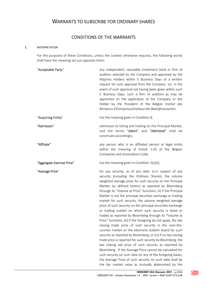# WARRANTS TO SUBSCRIBE FOR ORDINARY SHARES

# CONDITIONS OF THE WARRANTS

#### 1. INTERPRETATION

For the purposes of these Conditions, unless the context otherwise requires, the following words shall have the meaning set out opposite them:

| "Acceptable Party"         | any independent, reputable investment bank or firm of<br>auditors selected by the Company and approved by the<br>Majority Holders within 5 Business Days of a written<br>request for such approval from the Company (or, in the<br>event of such approval not having been given within such<br>5 Business Days, such a firm of auditors as may be<br>appointed on the application of the Company or the<br>Holder by the President of the Belgian Institut des<br>Réviseurs d'Entreprises/Instituut der Bedrijfsrevisoren).                                                                                                                                                                                                                                                                                                                                                                                                                                                                                                                                                                                                                                                                                                                  |
|----------------------------|----------------------------------------------------------------------------------------------------------------------------------------------------------------------------------------------------------------------------------------------------------------------------------------------------------------------------------------------------------------------------------------------------------------------------------------------------------------------------------------------------------------------------------------------------------------------------------------------------------------------------------------------------------------------------------------------------------------------------------------------------------------------------------------------------------------------------------------------------------------------------------------------------------------------------------------------------------------------------------------------------------------------------------------------------------------------------------------------------------------------------------------------------------------------------------------------------------------------------------------------|
| "Acquiring Entity"         | has the meaning given in Condition 8;                                                                                                                                                                                                                                                                                                                                                                                                                                                                                                                                                                                                                                                                                                                                                                                                                                                                                                                                                                                                                                                                                                                                                                                                        |
| "Admission"                | admission to listing and trading on the Principal Market,<br>and the terms "Admit" and "Admitted" shall be<br>construed accordingly;                                                                                                                                                                                                                                                                                                                                                                                                                                                                                                                                                                                                                                                                                                                                                                                                                                                                                                                                                                                                                                                                                                         |
| "Affiliate"                | any person who is an affiliated person or legal entity<br>within the meaning of Article 1:20 of the Belgian<br>Companies and Associations Code;                                                                                                                                                                                                                                                                                                                                                                                                                                                                                                                                                                                                                                                                                                                                                                                                                                                                                                                                                                                                                                                                                              |
| "Aggregate Exercise Price" | has the meaning given in Condition 2(c)(ii);                                                                                                                                                                                                                                                                                                                                                                                                                                                                                                                                                                                                                                                                                                                                                                                                                                                                                                                                                                                                                                                                                                                                                                                                 |
| "Average Price"            | for any security, as of any date: (i) in respect of any<br>security (including the Ordinary Shares), the volume<br>weighted average price for such security on the Principal<br>Market (as defined herein) as reported by Bloomberg<br>through its "Volume at Price" functions; (ii) if the Principal<br>Market is not the principal securities exchange or trading<br>market for such security, the volume weighted average<br>price of such security on the principal securities exchange<br>or trading market on which such security is listed or<br>traded as reported by Bloomberg through its "Volume at<br>Price" functions; (iii) if the foregoing do not apply, the last<br>closing trade price of such security in the over-the-<br>counter market on the electronic bulletin board for such<br>security as reported by Bloomberg; or (iv) if no last closing<br>trade price is reported for such security by Bloomberg, the<br>last closing ask price of such security as reported by<br>Bloomberg. If the Average Price cannot be calculated for<br>such security on such date on any of the foregoing bases,<br>the Average Price of such security on such date shall be<br>the fair market value as mutually determined by the |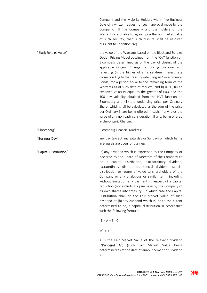Company and the Majority Holders within five Business Days of a written request for such approval made by the Company. If the Company and the holders of the Warrants are unable to agree upon the fair market value of such security, then such dispute shall be resolved pursuant to Condition 2(e).

"Black Scholes Value" the value of the Warrants based on the Black and Scholes Option Pricing Model obtained from the "OV" function on Bloomberg determined as of the day of closing of the applicable Organic Change for pricing purposes and reflecting (i) the higher of a) a risk-free interest rate corresponding to the treasury rate (Belgian Governmental Bonds) for a period equal to the remaining term of the Warrants as of such date of request, and b) 0.5%, (ii) an expected volatility equal to the greater of 60% and the 100 day volatility obtained from the HVT function on Bloomberg and (iii) the underlying price per Ordinary Share, which shall be calculated as the sum of the price per Ordinary Share being offered in cash, if any, plus the value of any non-cash consideration, if any, being offered in the Organic Change;

"Bloomberg" Bloomberg Financial Markets;

"Business Day" any day (except any Saturday or Sunday) on which banks in Brussels are open for business;

"Capital Distribution" (a) any dividend which is expressed by the Company or declared by the Board of Directors of the Company to be a capital distribution, extraordinary dividend, extraordinary distribution, special dividend, special distribution or return of value to shareholders of the Company or any analogous or similar term, including without limitation any payment in respect of a capital reduction (not including a purchase by the Company of its own shares into treasury), in which case the Capital Distribution shall be the Fair Market Value of such dividend or (b) any dividend which is, or to the extent determined to be, a capital distribution in accordance with the following formula:

 $E = A + B - C$ 

Where:

 A is the Fair Market Value of the relevant dividend ("Dividend A") (such Fair Market Value being determined as at the date of announcement of Dividend  $A$ );

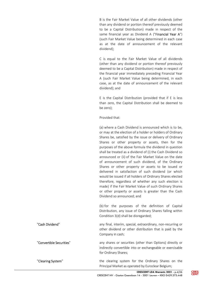B is the Fair Market Value of all other dividends (other than any dividend or portion thereof previously deemed to be a Capital Distribution) made in respect of the same financial year as Dividend A ("Financial Year A") (such Fair Market Value being determined in each case as at the date of announcement of the relevant dividend);

 C is equal to the Fair Market Value of all dividends (other than any dividend or portion thereof previously deemed to be a Capital Distribution) made in respect of the financial year immediately preceding Financial Year A (such Fair Market Value being determined, in each case, as at the date of announcement of the relevant dividend); and

 E is the Capital Distribution (provided that if E is less than zero, the Capital Distribution shall be deemed to be zero);

Provided that:

 (a) where a Cash Dividend is announced which is to be, or may at the election of a holder or holders of Ordinary Shares be, satisfied by the issue or delivery of Ordinary Shares or other property or assets, then for the purposes of the above formula the dividend in question shall be treated as a dividend of (i) the Cash Dividend so announced or (ii) of the Fair Market Value on the date of announcement of such dividend, of the Ordinary Shares or other property or assets to be issued or delivered in satisfaction of such dividend (or which would be issued if all holders of Ordinary Shares elected therefore, regardless of whether any such election is made) if the Fair Market Value of such Ordinary Shares or other property or assets is greater than the Cash Dividend so announced; and

 (b) for the purposes of the definition of Capital Distribution, any issue of Ordinary Shares falling within Condition 3(d) shall be disregarded;

"Cash Dividend" any final, interim, special, extraordinary, non-recurring or other dividend or other distribution that is paid by the Company in cash;

"Convertible Securities" any shares or securities (other than Options) directly or indirectly convertible into or exchangeable or exercisable for Ordinary Shares;

"Clearing System" The clearing system for the Ordinary Shares on the Principal Market as operated by Euroclear Belgium;

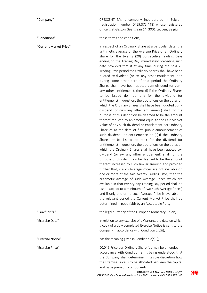"Company" CRESCENT NV, a company incorporated in Belgium (registration number 0429.375.448) whose registered office is at Gaston Geenslaan 14, 3001 Leuven, Belgium;

"Conditions" these terms and conditions;

"Current Market Price" in respect of an Ordinary Share at a particular date, the arithmetic average of the Average Price of an Ordinary Share for the twenty (20) consecutive Trading Days ending on the Trading Day immediately preceding such date provided that if at any time during the said 20 Trading Days period the Ordinary Shares shall have been quoted ex-dividend (or ex- any other entitlement) and during some other part of that period the Ordinary Shares shall have been quoted cum-dividend (or cumany other entitlement), then: (i) if the Ordinary Shares to be issued do not rank for the dividend (or entitlement) in question, the quotations on the dates on which the Ordinary Shares shall have been quoted cumdividend (or cum any other entitlement) shall for the purpose of this definition be deemed to be the amount thereof reduced by an amount equal to the Fair Market Value of any such dividend or entitlement per Ordinary Share as at the date of first public announcement of such dividend (or entitlement); or (ii) if the Ordinary Shares to be issued do rank for the dividend (or entitlement) in question, the quotations on the dates on which the Ordinary Shares shall have been quoted exdividend (or ex- any other entitlement) shall for the purpose of this definition be deemed to be the amount thereof increased by such similar amount, and provided further that, if such Average Prices are not available on one or more of the said twenty Trading Days, then the arithmetic average of such Average Prices which are available in that twenty day Trading Day period shall be used (subject to a minimum of two such Average Prices) and if only one or no such Average Price is available in the relevant period the Current Market Price shall be determined in good faith by an Acceptable Party;

| "Euro" or "€"     | the legal currency of the European Monetary Union;                                                                                                                                                                                     |
|-------------------|----------------------------------------------------------------------------------------------------------------------------------------------------------------------------------------------------------------------------------------|
| "Exercise Date"   | in relation to any exercise of a Warrant, the date on which<br>a copy of a duly completed Exercise Notice is sent to the<br>Company in accordance with Condition 2(c)(i);                                                              |
| "Exercise Notice" | has the meaning given in Condition 2(c)(i);                                                                                                                                                                                            |
| "Exercise Price"  | €0.046 Price per Ordinary Share (as may be amended in<br>accordance with Condition 3), it being understood that<br>the Company shall determine in its sole discretion how<br>the Exercise Price is to be allocated between the capital |

and issue premium components;

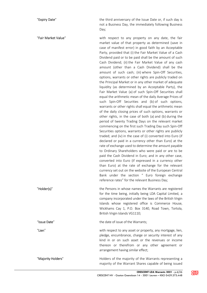"**Expiry Date**" The third anniversary of the Issue Date or, if such day is not a Business Day, the immediately following Business Day;

"Fair Market Value" with respect to any property on any date, the fair market value of that property as determined (save in case of manifest error) in good faith by an Acceptable Party, provided that (i) the Fair Market Value of a Cash Dividend paid or to be paid shall be the amount of such Cash Dividend; (ii) the Fair Market Value of any cash amount (other than a Cash Dividend) shall be the amount of such cash; (iii) where Spin-Off Securities, options, warrants or other rights are publicly traded on the Principal Market or in any other market of adequate liquidity (as determined by an Acceptable Party), the Fair Market Value (a) of such Spin-Off Securities shall equal the arithmetic mean of the daily Average Prices of such Spin-Off Securities and (b) of such options, warrants or other rights shall equal the arithmetic mean of the daily closing prices of such options, warrants or other rights, in the case of both (a) and (b) during the period of twenty Trading Days on the relevant market commencing on the first such Trading Day such Spin-Off Securities options, warrants or other rights are publicly traded; and (iv) in the case of (i) converted into Euro (if declared or paid in a currency other than Euro) at the rate of exchange used to determine the amount payable to Ordinary Shareholders who were paid or are to be paid the Cash Dividend in Euro; and in any other case, converted into Euro (if expressed in a currency other than Euro) at the rate of exchange for the relevant currency set out on the website of the European Central Bank under the section " Euro foreign exchange reference rates" for the relevant Business Day;

"Holder(s)" The Persons in whose names the Warrants are registered for the time being, initially being LDA Capital Limited, a company incorporated under the laws of the British Virgin Islands whose registered office is Commerce House, Wickhams Cay 1, P.O. Box 3140, Road Town, Tortola, British Virgin Islands VG1110;

"Issue Date" the date of issue of the Warrants;

"Lien" with respect to any asset or property, any mortgage, lien, pledge, encumbrance, charge or security interest of any kind in or on such asset or the revenues or income thereon or therefrom or any other agreement or arrangement having similar effect;

"Majority Holders" **Holders** Holders of the majority of the Warrants representing a majority of the Warrant Shares capable of being issued

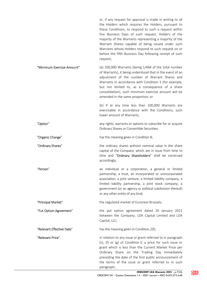or, if any request for approval is made in writing to all the Holders which requires the Holders, pursuant to these Conditions, to respond to such a request within five Business Days of such request, Holders of the majority of the Warrants representing a majority of the Warrant Shares capable of being issued under such Warrants whose Holders respond to such request on or before the fifth Business Day following receipt of such request;

"Minimum Exercise Amount" (a) 100,000 Warrants (being 1/464 of the total number of Warrants), it being understood that in the event of an adjustment of the number of Warrant Shares and Warrants in accordance with Condition 3 (for example, but not limited to, as a consequence of a share consolidation), such minimum exercise amount will be amended in the same proportion; or

> (b) if at any time less than 100,000 Warrants are exercisable in accordance with the Conditions, such lower amount of Warrants;

"Option" any rights, warrants or options to subscribe for or acquire Ordinary Shares or Convertible Securities;

"Organic Change" has the meaning given in Condition 8;

"Ordinary Shares" the ordinary shares without nominal value in the share capital of the Company, which are in issue from time to time and "Ordinary Shareholders" shall be construed accordingly;

"Person" an individual or a corporation, a general or limited partnership, a trust, an incorporated or unincorporated association, a joint venture, a limited liability company, a limited liability partnership, a joint stock company, a government (or an agency or political subdivision thereof) or any other entity of any kind;

"Principal Market" The regulated market of Euronext Brussels;

"Put Option Agreement" the put option agreement dated 20 January 2021 between the Company, LDA Capital Limited and LDA Capital, LLC;

"Relevant Effective Date" has the meaning given in Condition 2(f);

"Relevant Price" in relation to any issue or grant referred to in paragraph (c), (f) or (g) of Condition 3, a price for such issue or grant which is less than the Current Market Price per Ordinary Share on the Trading Day immediately preceding the date of the first public announcement of the terms of the issue or grant referred to in such paragraph;

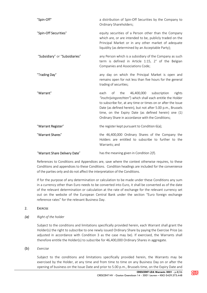| "Spin-Off"                     | a distribution of Spin-Off Securities by the Company to<br>Ordinary Shareholders;                                                                                                                                                                                                                                                                                    |
|--------------------------------|----------------------------------------------------------------------------------------------------------------------------------------------------------------------------------------------------------------------------------------------------------------------------------------------------------------------------------------------------------------------|
| "Spin-Off Securities"          | equity securities of a Person other than the Company<br>which are, or are intended to be, publicly traded on the<br>Principal Market or in any other market of adequate<br>liquidity (as determined by an Acceptable Party);                                                                                                                                         |
| "Subsidiary" or "Subsidiaries" | any Person which is a subsidiary of the Company as such<br>term is defined in Article 1:15, 2° of the Belgian<br>Companies and Associations Code;                                                                                                                                                                                                                    |
| "Trading Day"                  | any day on which the Principal Market is open and<br>remains open for not less than five hours for the general<br>trading of securities;                                                                                                                                                                                                                             |
| "Warrant"                      | 46,400,000<br>subscription<br>each<br>of<br>the<br>rights<br>"inschrijvingsrechten") which shall each entitle the Holder<br>to subscribe for, at any time or times on or after the Issue<br>Date (as defined herein), but not after 5.00 p.m., Brussels<br>time, on the Expiry Date (as defined herein) one (1)<br>Ordinary Share in accordance with the Conditions; |
| "Warrant Register"             | the register kept pursuant to Condition 6(a);                                                                                                                                                                                                                                                                                                                        |
| "Warrant Shares"               | the 46,400,000 Ordinary Shares of the Company the<br>Holders are entitled to subscribe to further to the<br>Warrants; and                                                                                                                                                                                                                                            |
| "Warrant Share Delivery Date"  | has the meaning given in Condition 2(f).                                                                                                                                                                                                                                                                                                                             |

References to Conditions and Appendices are, save where the context otherwise requires, to these Conditions and appendices to these Conditions. Condition headings are included for the convenience of the parties only and do not affect the interpretation of the Conditions.

If for the purpose of any determination or calculation to be made under these Conditions any sum in a currency other than Euro needs to be converted into Euro, it shall be converted as of the date of the relevant determination or calculation at the rate of exchange for the relevant currency set out on the website of the European Central Bank under the section "Euro foreign exchange reference rates" for the relevant Business Day.

# 2. EXERCISE

(a) Right of the holder

Subject to the conditions and limitations specifically provided herein, each Warrant shall grant the Holder(s) the right to subscribe to one newly issued Ordinary Share by paying the Exercise Price (as adjusted in accordance with Condition 3 as the case may be). If exercised, the Warrants shall therefore entitle the Holder(s) to subscribe for 46,400,000 Ordinary Shares in aggregate.

# (b) Exercise

Subject to the conditions and limitations specifically provided herein, the Warrants may be exercised by the Holder, at any time and from time to time on any Business Day on or after the opening of business on the Issue Date and prior to 5.00 p.m., Brussels time, on the Expiry Date and

**CRES**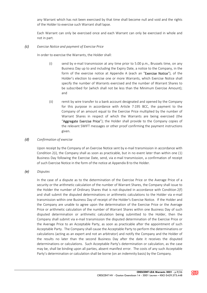any Warrant which has not been exercised by that time shall become null and void and the rights of the Holder to exercise such Warrant shall lapse.

Each Warrant can only be exercised once and each Warrant can only be exercised in whole and not in part.

#### (c) Exercise Notice and payment of Exercise Price

In order to exercise the Warrants, the Holder shall:

- (i) send by e-mail transmission at any time prior to 5.00 p.m., Brussels time, on any Business Day up to and including the Expiry Date, a notice to the Company, in the form of the exercise notice at Appendix A (each an "Exercise Notice"), of the Holder's election to exercise one or more Warrants, which Exercise Notice shall specify the number of Warrants exercised and the number of Warrant Shares to be subscribed for (which shall not be less than the Minimum Exercise Amount); and
- (ii) remit by wire transfer to a bank account designated and opened by the Company for this purpose in accordance with Article 7:195 BCC, the payment to the Company of an amount equal to the Exercise Price multiplied by the number of Warrant Shares in respect of which the Warrants are being exercised (the "Aggregate Exercise Price"); the Holder shall provide to the Company copies of the relevant SWIFT messages or other proof confirming the payment instructions given.

#### (d) Confirmation of exercise

Upon receipt by the Company of an Exercise Notice sent by e-mail transmission in accordance with Condition 2(i), the Company shall as soon as practicable, but in no event later than within one (1) Business Day following the Exercise Date, send, via e-mail transmission, a confirmation of receipt of such Exercise Notice in the form of the notice at Appendix B to the Holder.

#### (e) Disputes

In the case of a dispute as to the determination of the Exercise Price or the Average Price of a security or the arithmetic calculation of the number of Warrant Shares, the Company shall issue to the Holder the number of Ordinary Shares that is not disputed in accordance with Condition 2(f) and shall submit the disputed determinations or arithmetic calculations to the Holder via e-mail transmission within one Business Day of receipt of the Holder's Exercise Notice. If the Holder and the Company are unable to agree upon the determination of the Exercise Price or the Average Price or arithmetic calculation of the number of Warrant Shares within one Business Day of such disputed determination or arithmetic calculation being submitted to the Holder, then the Company shall submit via e-mail transmission the disputed determination of the Exercise Price or the Average Price to an Acceptable Party, as soon as practicable after the appointment of such Acceptable Party. The Company shall cause the Acceptable Party to perform the determinations or calculations (acting as an expert and not an arbitrator) and notify the Company and the Holder of the results no later than the second Business Day after the date it receives the disputed determinations or calculations. Such Acceptable Party's determination or calculation, as the case may be, shall be binding upon all parties, absent manifest error. The costs of any such Acceptable Party's determination or calculation shall be borne (on an indemnity basis) by the Company.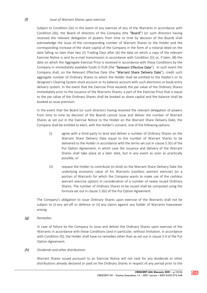#### (f) Issue of Warrant Shares upon exercise

Subject to Condition 2(e) in the event of any exercise of any of the Warrants in accordance with Condition  $2(b)$ , the Board of directors of the Company (the "Board") (or such directors having received the relevant delegation of powers from time to time by decision of the Board) shall acknowledge the issue of the corresponding number of Warrant Shares to the Holder and the corresponding increase of the share capital of the Company in the form of a notarial deed on the date falling no later than two (2) Trading Days after (A) the date on which a copy of the relevant Exercise Notice is sent by e-mail transmission in accordance with Condition 2(i) or, if later, (B) the date on which the Aggregate Exercise Price is received in accordance with these Conditions by the Company in immediately available funds in EUR (the "Relevant Effective Date"). In such event the Company shall, on the Relevant Effective Date (the "Warrant Share Delivery Date"), credit such aggregate number of Ordinary Shares to which the Holder shall be entitled to the Holder's or its designee's Clearing System stock account or its balance account with such electronic or book-entry delivery system. In the event that the Exercise Price exceeds the par value of the Ordinary Shares immediately prior to the issuance of the Warrants Shares, a part of the Exercise Price that is equal to the par value of the Ordinary Shares shall be booked as share capital and the balance shall be booked as issue premium.

In the event that the Board (or such directors having received the relevant delegation of powers from time to time by decision of the Board) cannot issue and deliver the number of Warrant Shares as set out in the Exercise Notice to the Holder on the Warrant Share Delivery Date, the Company shall be entitled to elect, with the Holder's consent, one of the following options:

- (i) agree with a third party to lend and deliver a number of Ordinary Shares on the Warrant Share Delivery Date equal to the number of Warrant Shares to be delivered to the Holder in accordance with the terms set out in clause 5.3(i) of the Put Option Agreement, in which case the issuance and delivery of the Warrant Shares shall take place at a later date, but in any event as soon as practically possible, or
- (ii) request the Holder to contribute (in kind) on the Warrant Share Delivery Date the underlying economic value of his Warrants (cashless warrant exercise) (or a portion of Warrants for which the Company wants to make use of the cashless warrant exercise option) in consideration of a number of newly issued Ordinary Shares. The number of Ordinary Shares to be issued shall be computed using the formula set out in clause 5.3(ii) of the Put Option Agreement.

The Company's obligation to issue Ordinary Shares upon exercise of the Warrants shall not be subject to (i) any set-off or defence or (ii) any claims against any holder of Warrants howsoever arising.

(g) Remedies

In case of failure by the Company to issue and deliver the Ordinary Shares upon exercise of the Warrants in accordance with these Conditions (and in particular, without limitation, in accordance with Condition (f)), the Holder shall have no remedies other than as set out in clause 5.4 of the Put Option Agreement.

(h) Dividends and other distributions

Warrant Shares issued pursuant to an Exercise Notice will not rank for any dividends or other distributions already declared or paid on the Ordinary Shares in respect of any period prior to the

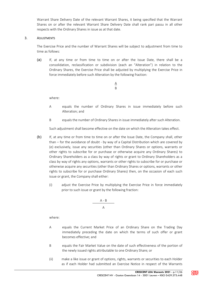Warrant Share Delivery Date of the relevant Warrant Shares, it being specified that the Warrant Shares on or after the relevant Warrant Share Delivery Date shall rank pari passu in all other respects with the Ordinary Shares in issue as at that date.

## 3. ADJUSTMENTS

The Exercise Price and the number of Warrant Shares will be subject to adjustment from time to time as follows:

(a) If, at any time or from time to time on or after the Issue Date, there shall be a consolidation, reclassification or subdivision (each an "Alteration") in relation to the Ordinary Shares, the Exercise Price shall be adjusted by multiplying the Exercise Price in force immediately before such Alteration by the following fraction:

> $\underline{A}$ B

where:

- A equals the number of Ordinary Shares in issue immediately before such Alteration; and
- B equals the number of Ordinary Shares in issue immediately after such Alteration.

Such adjustment shall become effective on the date on which the Alteration takes effect.

- (b) If, at any time or from time to time on or after the Issue Date, the Company shall, other than – for the avoidance of doubt - by way of a Capital Distribution which are covered by (e) exclusively, issue any securities (other than Ordinary Shares or options, warrants or other rights to subscribe for or purchase or otherwise acquire any Ordinary Shares) to Ordinary Shareholders as a class by way of rights or grant to Ordinary Shareholders as a class by way of rights any options, warrants or other rights to subscribe for or purchase or otherwise acquire any securities (other than Ordinary Shares or options, warrants or other rights to subscribe for or purchase Ordinary Shares) then, on the occasion of each such issue or grant, the Company shall either:
	- (i) adjust the Exercise Price by multiplying the Exercise Price in force immediately prior to such issue or grant by the following fraction:

$$
\begin{array}{c}\nA-B \\
\hline\nA\n\end{array}
$$

where:

- A equals the Current Market Price of an Ordinary Share on the Trading Day immediately preceding the date on which the terms of such offer or grant becomes effective; and
- B equals the Fair Market Value on the date of such effectiveness of the portion of the newly issued rights attributable to one Ordinary Share; or
- (ii) make a like issue or grant of options, rights, warrants or securities to each Holder as if each Holder had submitted an Exercise Notice in respect of the Warrants

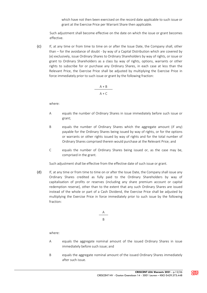which have not then been exercised on the record date applicable to such issue or grant at the Exercise Price per Warrant Share then applicable.

Such adjustment shall become effective on the date on which the issue or grant becomes effective.

(c) If, at any time or from time to time on or after the Issue Date, the Company shall, other than – for the avoidance of doubt - by way of a Capital Distribution which are covered by (e) exclusively, issue Ordinary Shares to Ordinary Shareholders by way of rights, or issue or grant to Ordinary Shareholders as a class by way of rights, options, warrants or other rights to subscribe for or purchase any Ordinary Shares, in each case at less than the Relevant Price, the Exercise Price shall be adjusted by multiplying the Exercise Price in force immediately prior to such issue or grant by the following fraction:

$$
A + B
$$
  
A + C

where:

- A equals the number of Ordinary Shares in issue immediately before such issue or grant;
- B equals the number of Ordinary Shares which the aggregate amount (if any) payable for the Ordinary Shares being issued by way of rights, or for the options or warrants or other rights issued by way of rights and for the total number of Ordinary Shares comprised therein would purchase at the Relevant Price; and
- C equals the number of Ordinary Shares being issued or, as the case may be, comprised in the grant.

Such adjustment shall be effective from the effective date of such issue or grant.

(d) If, at any time or from time to time on or after the Issue Date, the Company shall issue any Ordinary Shares credited as fully paid to the Ordinary Shareholders by way of capitalisation of profits or reserves (including any share premium account or capital redemption reserve), other than to the extent that any such Ordinary Shares are issued instead of the whole or part of a Cash Dividend, the Exercise Price shall be adjusted by multiplying the Exercise Price in force immediately prior to such issue by the following fraction:

$$
\begin{array}{c}\nA \\
B\n\end{array}
$$

where:

- A equals the aggregate nominal amount of the issued Ordinary Shares in issue immediately before such issue; and
- B equals the aggregate nominal amount of the issued Ordinary Shares immediately after such issue.

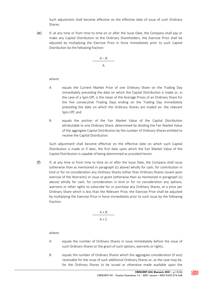Such adjustment shall become effective on the effective date of issue of such Ordinary Shares.

(e) If, at any time or from time to time on or after the Issue Date, the Company shall pay or make any Capital Distribution to the Ordinary Shareholders, the Exercise Price shall be adjusted by multiplying the Exercise Price in force immediately prior to such Capital Distribution by the following fraction:

$$
\frac{A-B}{A}
$$

where:

- A equals the Current Market Price of one Ordinary Share on the Trading Day immediately preceding the date on which the Capital Distribution is made or, in the case of a Spin-Off, is the mean of the Average Prices of an Ordinary Share for the five consecutive Trading Days ending on the Trading Day immediately preceding the date on which the Ordinary Shares are traded ex- the relevant Spin-Off; and
- B equals the portion of the Fair Market Value of the Capital Distribution attributable to one Ordinary Share, determined by dividing the Fair Market Value of the aggregate Capital Distribution by the number of Ordinary Shares entitled to receive the Capital Distribution.

Such adjustment shall become effective on the effective date on which such Capital Distribution is made or if later, the first date upon which the Fair Market Value of the Capital Distribution is capable of being determined as provided herein.

(f) If, at any time or from time to time on or after the Issue Date, the Company shall issue (otherwise than as mentioned in paragraph (c) above) wholly for cash, for contribution in kind or for no consideration any Ordinary Shares (other than Ordinary Shares issued upon exercise of the Warrants) or issue or grant (otherwise than as mentioned in paragraph (c) above) wholly for cash, for consideration in kind or for no consideration any options, warrants or other rights to subscribe for or purchase any Ordinary Shares, at a price per Ordinary Share which is less than the Relevant Price, the Exercise Price shall be adjusted by multiplying the Exercise Price in force immediately prior to such issue by the following fraction:

$$
A + B
$$
  
A + C

where:

- A equals the number of Ordinary Shares in issue immediately before the issue of such Ordinary Shares or the grant of such options, warrants or rights;
- B equals the number of Ordinary Shares which the aggregate consideration (if any) receivable for the issue of such additional Ordinary Shares or, as the case may be, for the Ordinary Shares to be issued or otherwise made available upon the

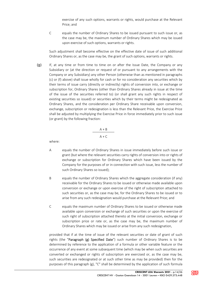exercise of any such options, warrants or rights, would purchase at the Relevant Price; and

C equals the number of Ordinary Shares to be issued pursuant to such issue or, as the case may be, the maximum number of Ordinary Shares which may be issued upon exercise of such options, warrants or rights.

Such adjustment shall become effective on the effective date of issue of such additional Ordinary Shares or, as the case may be, the grant of such options, warrants or rights.

(g) If, at any time or from time to time on or after the Issue Date, the Company or any Subsidiary or (at the direction or request of or pursuant to any arrangements with the Company or any Subsidiary) any other Person (otherwise than as mentioned in paragraphs (c) or (f) above) shall issue wholly for cash or for no consideration any securities which by their terms of issue carry (directly or indirectly) rights of conversion into, or exchange or subscription for, Ordinary Shares (other than Ordinary Shares already in issue at the time of the issue of the securities referred to) (or shall grant any such rights in respect of existing securities so issued) or securities which by their terms might be redesignated as Ordinary Shares, and the consideration per Ordinary Share receivable upon conversion, exchange, subscription or redesignation is less than the Relevant Price, the Exercise Price shall be adjusted by multiplying the Exercise Price in force immediately prior to such issue (or grant) by the following fraction:

$$
A + B
$$
  
A + C

where:

- A equals the number of Ordinary Shares in issue immediately before such issue or grant (but where the relevant securities carry rights of conversion into or rights of exchange or subscription for Ordinary Shares which have been issued by the Company for the purposes of or in connection with such issue, less the number of such Ordinary Shares so issued);
- B equals the number of Ordinary Shares which the aggregate consideration (if any) receivable for the Ordinary Shares to be issued or otherwise made available upon conversion or exchange or upon exercise of the right of subscription attached to such securities or, as the case may be, for the Ordinary Shares to be issued or to arise from any such redesignation would purchase at the Relevant Price; and
- C equals the maximum number of Ordinary Shares to be issued or otherwise made available upon conversion or exchange of such securities or upon the exercise of such right of subscription attached thereto at the initial conversion, exchange or subscription price or rate or, as the case may be, the maximum number of Ordinary Shares which may be issued or arise from any such redesignation,

provided that if at the time of issue of the relevant securities or date of grant of such rights (the "Paragraph (g) Specified Date") such number of Ordinary Shares is to be determined by reference to the application of a formula or other variable feature or the occurrence of any event at some subsequent time (which may be when such securities are converted or exchanged or rights of subscription are exercised or, as the case may be, such securities are redesignated or at such other time as may be provided) then for the purposes of this paragraph (g), "C" shall be determined by the application of such formula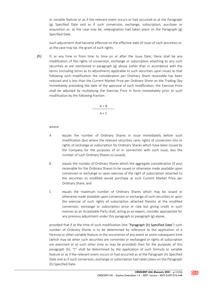or variable feature or as if the relevant event occurs or had occurred as at the Paragraph (g) Specified Date and as if such conversion, exchange, subscription, purchase or acquisition or, as the case may be, redesignation had taken place on the Paragraph (g) Specified Date.

Such adjustment shall become effective on the effective date of issue of such securities or, as the case may be, the grant of such rights.

 $(h)$  If, at any time or from time to time on or after the Issue Date, there shall be any modification of the rights of conversion, exchange or subscription attaching to any such securities as are mentioned in paragraph (g) above (other than in accordance with the terms (including terms as to adjustment) applicable to such securities upon issue) so that following such modification the consideration per Ordinary Share receivable has been reduced and is less than the Current Market Price per Ordinary Share on the Trading Day immediately preceding the date of the approval of such modification, the Exercise Price shall be adjusted by multiplying the Exercise Price in force immediately prior to such modification by the following fraction:

> $A + B$  $A + C$

where:

- A equals the number of Ordinary Shares in issue immediately before such modification (but where the relevant securities carry rights of conversion into or rights of exchange or subscription for Ordinary Shares which have been issued by the Company for the purposes of or in connection with such issue, less the number of such Ordinary Shares so issued);
- B equals the number of Ordinary Shares which the aggregate consideration (if any) receivable for the Ordinary Shares to be issued or otherwise made available upon conversion or exchange or upon exercise of the right of subscription attached to the securities so modified would purchase at such Current Market Price per Ordinary Share; and
- C equals the maximum number of Ordinary Shares which may be issued or otherwise made available upon conversion or exchange of such securities or upon the exercise of such rights of subscription attached thereto at the modified conversion, exchange or subscription price or rate but giving credit in such manner as an Acceptable Party shall, acting as an expert, consider appropriate for any previous adjustment under this paragraph or paragraph (g) above,

provided that if at the time of such modification (the "Paragraph (h) Specified Date") such number of Ordinary Shares is to be determined by reference to the application of a formula or other variable feature or the occurrence of any event at some subsequent time (which may be when such securities are converted or exchanged or rights of subscription are exercised or at such other time as may be provided) then for the purposes of this paragraph (h), "C" shall be determined by the application of such formula or variable feature or as if the relevant event occurs or had occurred as at the Paragraph (h) Specified Date and as if such conversion, exchange or subscription had taken place on the Paragraph (h) Specified Date.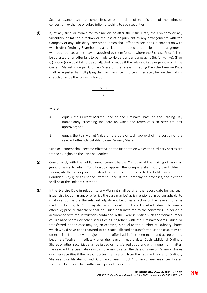Such adjustment shall become effective on the date of modification of the rights of conversion, exchange or subscription attaching to such securities.

(i) If, at any time or from time to time on or after the Issue Date, the Company or any Subsidiary or (at the direction or request of or pursuant to any arrangements with the Company or any Subsidiary) any other Person shall offer any securities in connection with which offer Ordinary Shareholders as a class are entitled to participate in arrangements whereby such securities may be acquired by them (except where the Exercise Price falls to be adjusted or an offer falls to be made to Holders under paragraphs (b), (c), (d), (e), (f) or (g) above (or would fall to be so adjusted or made if the relevant issue or grant was at the Current Market Price per Ordinary Share on the relevant Trading Day) the Exercise Price shall be adjusted by multiplying the Exercise Price in force immediately before the making of such offer by the following fraction:

$$
\frac{A-B}{A}
$$

where:

- A equals the Current Market Price of one Ordinary Share on the Trading Day immediately preceding the date on which the terms of such offer are first approved; and
- B equals the Fair Market Value on the date of such approval of the portion of the relevant offer attributable to one Ordinary Share.

Such adjustment shall become effective on the first date on which the Ordinary Shares are traded ex-rights on the Principal Market.

- (j) Concurrently with the public announcement by the Company of the making of an offer, grant or issue to which Condition 3(b) applies, the Company shall notify the Holder in writing whether it proposes to extend the offer, grant or issue to the Holder as set out in Condition 3(b)(ii) or adjust the Exercise Price. If the Company so proposes, the election shall be at the Holders discretion.
- (k) If the Exercise Date in relation to any Warrant shall be after the record date for any such issue, distribution, grant or offer (as the case may be) as is mentioned in paragraphs (b) to (i) above, but before the relevant adjustment becomes effective or the relevant offer is made to Holders, the Company shall (conditional upon the relevant adjustment becoming effective) procure that there shall be issued or transferred to the converting Holder or in accordance with the instructions contained in the Exercise Notice such additional number of Ordinary Shares or other securities as, together with the Ordinary Shares issued or transferred, as the case may be, on exercise, is equal to the number of Ordinary Shares which would have been required to be issued, allotted or transferred, as the case may be, on exercise if the relevant adjustment or offer had in fact been made and accepted and become effective immediately after the relevant record date. Such additional Ordinary Shares or other securities shall be issued or transferred as at, and within one month after, the relevant Exercise Date or within one month after the date of issue of Ordinary Shares or other securities if the relevant adjustment results from the issue or transfer of Ordinary Shares and certificates for such Ordinary Shares (if such Ordinary Shares are in certificated form) will be despatched within such period of one month.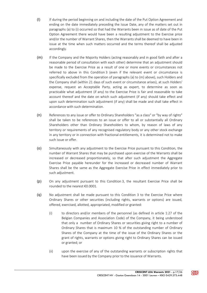- (l) If during the period beginning on and including the date of the Put Option Agreement and ending on the date immediately preceding the Issue Date, any of the matters set out in paragraphs (a) to (i) occurred so that had the Warrants been in issue as of date of the Put Option Agreement there would have been a resulting adjustment to the Exercise price and/or the number of Warrant Shares, then the Warrants shall be deemed to have been in issue at the time when such matters occurred and the terms thereof shall be adjusted accordingly.
- (m) If the Company and the Majority Holders (acting reasonably and in good faith and after a reasonable period of consultation with each other) determine that an adjustment should be made to the Exercise Price as a result of one or more events or circumstances not referred to above in this Condition 3 (even if the relevant event or circumstance is specifically excluded from the operation of paragraphs (a) to (m) above), such Holders and the Company shall (within 21 days of such event or circumstance arises), at such Holders' expense, request an Acceptable Party, acting as expert, to determine as soon as practicable what adjustment (if any) to the Exercise Price is fair and reasonable to take account thereof and the date on which such adjustment (if any) should take effect and upon such determination such adjustment (if any) shall be made and shall take effect in accordance with such determination.
- (n) References to any issue or offer to Ordinary Shareholders "as a class" or "by way of rights" shall be taken to be references to an issue or offer to all or substantially all Ordinary Shareholders other than Ordinary Shareholders to whom, by reason of laws of any territory or requirements of any recognised regulatory body or any other stock exchange in any territory or in connection with fractional entitlements, it is determined not to make such issue or offer.
- (o) Simultaneously with any adjustment to the Exercise Price pursuant to this Condition, the number of Warrant Shares that may be purchased upon exercise of the Warrants shall be increased or decreased proportionately, so that after such adjustment the Aggregate Exercise Price payable hereunder for the increased or decreased number of Warrant Shares shall be the same as the Aggregate Exercise Price in effect immediately prior to such adjustment.
- (p) On any adjustment pursuant to this Condition 3, the resultant Exercise Price shall be rounded to the nearest €0.0001.
- (q) No adjustment shall be made pursuant to this Condition 3 to the Exercise Price where Ordinary Shares or other securities (including rights, warrants or options) are issued, offered, exercised, allotted, appropriated, modified or granted:
	- (i) to directors and/or members of the personnel (as defined in article 1:27 of the Belgian Companies and Association Code) of the Company, it being understood that only a number of Ordinary Shares or securities giving right to a number of Ordinary Shares that is maximum 10 % of the outstanding number of Ordinary Shares of the Company at the time of the issue of the Ordinary Shares or the grant of rights, warrants or options giving right to Ordinary Shares can be issued or granted; or
	- (ii) upon the exercise of any of the outstanding warrants or subscription rights that have been issued by the Company prior to the issuance of Warrants.

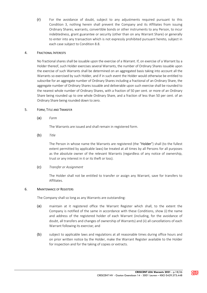(r) For the avoidance of doubt, subject to any adjustments required pursuant to this Condition 3, nothing herein shall prevent the Company and its Affiliates from issuing Ordinary Shares, warrants, convertible bonds or other instruments to any Person, to incur indebtedness, grant guarantee or security (other than on any Warrant Share) or generally to enter into any transaction which is not expressly prohibited pursuant hereto, subject in each case subject to Condition 8.8.

# 4. FRACTIONAL INTERESTS

No fractional shares shall be issuable upon the exercise of a Warrant. If, on exercise of a Warrant by a Holder thereof, such Holder exercises several Warrants, the number of Ordinary Shares issuable upon the exercise of such Warrants shall be determined on an aggregated basis taking into account all the Warrants so exercised by such Holder, and if in such event the Holder would otherwise be entitled to subscribe for an aggregate number of Ordinary Shares including a fractional of an Ordinary Share, the aggregate number of Ordinary Shares issuable and deliverable upon such exercise shall be rounded to the nearest whole number of Ordinary Shares, with a fraction of 50 per cent. or more of an Ordinary Share being rounded up to one whole Ordinary Share, and a fraction of less than 50 per cent. of an Ordinary Share being rounded down to zero.

# 5. FORM, TITLE AND TRANSFER

(a) Form

The Warrants are issued and shall remain in registered form.

(b) Title

The Person in whose name the Warrants are registered (the "Holder") shall (to the fullest extent permitted by applicable laws) be treated at all times by all Persons for all purposes as the absolute owner of the relevant Warrants (regardless of any notice of ownership, trust or any interest in it or its theft or loss).

(c) Transfer or Assignment

The Holder shall not be entitled to transfer or assign any Warrant, save for transfers to Affiliates.

#### 6. MAINTENANCE OF REGISTERS

The Company shall so long as any Warrants are outstanding:

- (a) maintain at it registered office the Warrant Register which shall, to the extent the Company is notified of the same in accordance with these Conditions, show (i) the name and address of the registered holder of each Warrant (including, for the avoidance of doubt, all transfers and changes of ownership of Warrants) and (ii) all cancellations of each Warrant following its exercise; and
- (b) subject to applicable laws and regulations at all reasonable times during office hours and on prior written notice by the Holder, make the Warrant Register available to the Holder for inspection and for the taking of copies or extracts.

**CRES**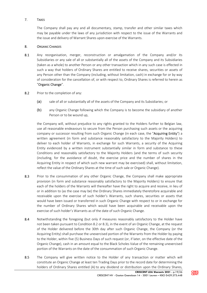# 7. TAXES

The Company shall pay any and all documentary, stamp, transfer and other similar taxes which may be payable under the laws of any jurisdiction with respect to the issue of the Warrants and the issue and delivery of Warrant Shares upon exercise of the Warrants.

# 8. ORGANIC CHANGES

- 8.1 Any reorganisation, merger, reconstruction or amalgamation of the Company and/or its Subsidiaries or any sale of all or substantially all of the assets of the Company and its Subsidiaries (taken as a whole) to another Person or any other transaction which in any such case is effected in such a way that holders of Ordinary Shares are entitled to receive shares, securities or assets of any Person other than the Company (including, without limitation, cash) in exchange for or by way of consideration for the cancellation of, or with respect to, Ordinary Shares is referred to herein as "Organic Change".
- 8.2 Prior to the completion of any:
	- (a) sale of all or substantially all of the assets of the Company and its Subsidiaries; or
	- (b) any Organic Change following which the Company is to become the subsidiary of another Person or to be wound up,

the Company will, without prejudice to any rights granted to the Holders further to Belgian law, use all reasonable endeavours to secure from the Person purchasing such assets or the acquiring company or successor resulting from such Organic Change (in each case, the "Acquiring Entity") a written agreement (in form and substance reasonably satisfactory to the Majority Holders) to deliver to each holder of Warrants, in exchange for such Warrants, a security of the Acquiring Entity evidenced by a written instrument substantially similar in form and substance to these Conditions and reasonably satisfactory to the Majority Holders (and the terms of such security (including, for the avoidance of doubt, the exercise price and the number of shares in the Acquiring Entity in respect of which such new warrant may be exercised) shall, without limitation, reflect the value of the Ordinary Shares at the time of such sale or Organic Change).

- 8.3 Prior to the consummation of any other Organic Change, the Company shall make appropriate provision (in form and substance reasonably satisfactory to the Majority Holders) to ensure that each of the holders of the Warrants will thereafter have the right to acquire and receive, in lieu of or in addition to (as the case may be) the Ordinary Shares immediately theretofore acquirable and receivable upon the exercise of such holder's Warrants, such shares, securities or assets that would have been issued or transferred in such Organic Change with respect to or in exchange for the number of Ordinary Shares which would have been acquirable and receivable upon the exercise of such holder's Warrants as of the date of such Organic Change.
- 8.4 Notwithstanding the foregoing (but only if measures reasonably satisfactory to the Holder have not been taken pursuant to Condition 8.2 or 8.3), in the event of an Organic Change, at the request of the Holder delivered before the 30th day after such Organic Change, the Company (or the Acquiring Entity) shall purchase the unexercised portion of the Warrants from the Holder by paying to the Holder, within five (5) Business Days of such request (or, if later, on the effective date of the Organic Change), cash in an amount equal to the Black Scholes Value of the remaining unexercised portion of the Warrants on the date of the consummation of such Organic Change.
- 8.5 The Company will give written notice to the Holder of any transaction or matter which will constitute an Organic Change at least ten Trading Days prior to the record date for determining the holders of Ordinary Shares entitled (A) to any dividend or distribution upon the Ordinary Shares,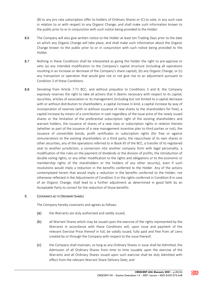(B) to any pro rata subscription offer to holders of Ordinary Shares or (C) to vote, in any such case in relation to or with respect to any Organic Change, and shall make such information known to the public prior to or in conjunction with such notice being provided to the Holder.

- 8.6 The Company will also give written notice to the Holder at least ten Trading Days prior to the date on which any Organic Change will take place, and shall make such information about the Organic Change known to the public prior to or in conjunction with such notice being provided to the Holder.
- 8.7 Nothing in these Conditions shall be interpreted as giving the Holder the right to pre-approve or veto (a) any intended modification to the Company's capital structure (including all operations resulting in an increase or decrease of the Company's share capital), (b) any Organic Change, or (c) any transaction or operation that would give rise or not give rise to an adjustment pursuant to Condition 3 of these Conditions.
- 8.8 Deviating from Article 7:71 BCC, and without prejudice to Conditions 3 and 8, the Company expressly reserves the right to take all actions that it deems necessary with respect to its capital, securities, articles of association or its management (including but not limited to a capital decrease with or without distribution to shareholders, a capital increase in kind, a capital increase by way of incorporation of reserves (with or without issuance of new shares to the shareholders for free), a capital increase by means of a contribution in cash regardless of the issue price of the newly issued shares or the limitation of the preferential subscription right of the existing shareholders and warrant holders, the issuance of shares of a new class or subscription rights in relation thereto (whether as part of the issuance of a new management incentive plan to third parties or not), the issuance of convertible bonds, profit certificates or subscription rights (for free or against remuneration) to the existing shareholders or a third party, the repurchase of its own shares or other securities, any of the operations referred to in Book XII of the BCC, a transfer of its registered seat to another jurisdiction, a conversion into another company form with legal personality, a modification of the rules on the payment of dividends or the division of profits, the introduction of double voting rights, or any other modification to the rights and obligations or to the economic or membership rights of the shareholders or the holders of any other security), even if such resolutions would imply a reduction in the benefits conferred to the Holder. Any of the actions contemplated herein that would imply a reduction in the benefits conferred to the Holder, not otherwise reflected in the Adjustments of Condition 3 or the rights conferred in Condition 8 in case of an Organic Change, shall lead to a further adjustment as determined in good faith by an Acceptable Party to correct for the reduction of those benefits.

# 9. COVENANTS AS TO ORDINARY SHARES

The Company hereby covenants and agrees as follows:

- (a) the Warrants are duly authorised and validly issued;
- (b) all Warrant Shares which may be issued upon the exercise of the rights represented by the Warrants in accordance with these Conditions will, upon issue and payment of the relevant Exercise Price thereof in full, be validly issued, fully paid and free from all Liens created by or through the Company with respect to the issue thereof;
- (c) the Company shall maintain, so long as any Ordinary Shares in issue shall be Admitted, the Admission of all Ordinary Shares from time to time issuable upon the exercise of the Warrants and all Ordinary Shares issued upon such exercise shall be duly Admitted with effect from the relevant Warrant Share Delivery Date; and

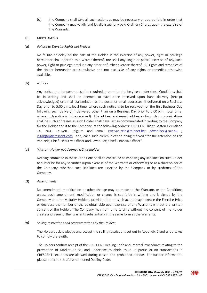(d) the Company shall take all such actions as may be necessary or appropriate in order that the Company may validly and legally issue fully paid Ordinary Shares upon the exercise of the Warrants.

#### 10. MISCELLANEOUS

#### (a) Failure to Exercise Rights not Waiver

No failure or delay on the part of the Holder in the exercise of any power, right or privilege hereunder shall operate as a waiver thereof, nor shall any single or partial exercise of any such power, right or privilege preclude any other or further exercise thereof. All rights and remedies of the Holder hereunder are cumulative and not exclusive of any rights or remedies otherwise available.

#### (b) Notices

Any notice or other communication required or permitted to be given under these Conditions shall be in writing and shall be deemed to have been received upon hand delivery (receipt acknowledged) or e-mail transmission at the postal or email addresses (if delivered on a Business Day prior to 5:00 p.m., local time, where such notice is to be received), or the first Business Day following such delivery (if delivered other than on a Business Day prior to 5:00 p.m., local time, where such notice is to be received). The address and e-mail addresses for such communications shall be such addresses as such Holder shall have last so communicated in writing to the Company for the Holder and if to the Company, at the following address: CRESCENT BV at Gaston Geenslaan 14, 3001 Leuven, Belgium and email eric.van.zele@telenet.be; edwin.bex@sait.nu ; legal@opticrescent.com; and, each such communication being marked "for the attention of Eric Van Zele, Chief Executive Officer and Edwin Bex, Chief Financial Officer".

#### (c) Warrant Holder not deemed a Shareholder

Nothing contained in these Conditions shall be construed as imposing any liabilities on such Holder to subscribe for any securities (upon exercise of the Warrants or otherwise) or as a shareholder of the Company, whether such liabilities are asserted by the Company or by creditors of the Company.

# (d) Amendments

No amendment, modification or other change may be made to the Warrants or the Conditions unless such amendment, modification or change is set forth in writing and is signed by the Company and the Majority Holders, provided that no such action may increase the Exercise Price or decrease the number of shares obtainable upon exercise of any Warrants without the written consent of the Holder. The Company may from time to time without the consent of the Holder create and issue further warrants substantially in the same form as the Warrants.

#### (e) Selling restrictions and representations by the Holders

The Holders acknowledge and accept the selling restrictions set out in Appendix C and undertakes to comply therewith.

The Holders confirm receipt of the CRESCENT Dealing Code and Internal Procedures relating to the prevention of Market Abuse, and undertake to abide by it. In particular no transactions in CRESCENT securities are allowed during closed and prohibited periods. For further information please refer to the aforementioned Dealing Code.

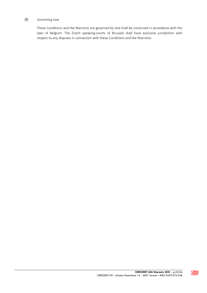# (f) Governing Law

These Conditions and the Warrants are governed by and shall be construed in accordance with the laws of Belgium. The Dutch speaking-courts of Brussels shall have exclusive jurisdiction with respect to any disputes in connection with these Conditions and the Warrants.

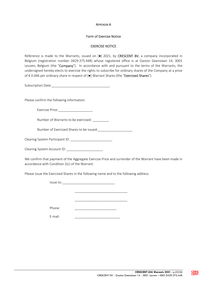#### APPENDIX A

#### Form of Exercise Notice

## EXERCISE NOTICE

Reference is made to the Warrants, issued on [ $\bullet$ ] 2021, by CRESCENT BV, a company incorporated in Belgium (registration number 0429.375.448) whose registered office is at Gaston Geenslaan 14, 3001 Leuven, Belgium (the "Company"). In accordance with and pursuant to the terms of the Warrants, the undersigned hereby elects to exercise the rights to subscribe for ordinary shares of the Company at a price of € 0.046 per ordinary share in respect of [●] Warrant Shares (the "Exercised Shares").

Subscription Date:\_\_\_\_\_\_\_\_\_\_\_\_\_\_\_\_\_\_\_\_\_\_\_\_\_\_\_\_\_\_\_\_

Please confirm the following information:

Exercise Price:

Number of Warrants to be exercised: \_\_\_\_\_\_\_\_\_

Number of Exercised Shares to be issued:

Clearing System Participant ID: \_\_\_\_\_\_\_\_\_\_\_\_\_\_\_\_\_\_\_\_\_\_\_

Clearing System Account ID:

We confirm that payment of the Aggregate Exercise Price and surrender of the Warrant have been made in accordance with Condition 2(c) of the Warrant.

\_\_\_\_\_\_\_\_\_\_\_\_\_\_\_\_\_\_\_\_\_\_\_\_\_\_\_\_\_

\_\_\_\_\_\_\_\_\_\_\_\_\_\_\_\_\_\_\_\_\_\_\_\_\_\_\_\_\_

Please issue the Exercised Shares in the following name and to the following address:

Issue to:

Phone: \_\_\_\_\_\_\_\_\_\_\_\_\_\_\_\_\_\_\_\_\_\_\_

E-mail: \_\_\_\_\_\_\_\_\_\_\_\_\_\_\_\_\_\_\_\_\_\_\_\_\_

**CRES**<br>CENT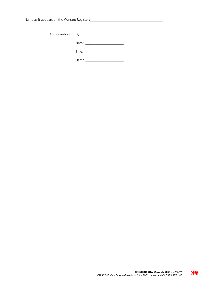| Authorisation: By:_________________________ |
|---------------------------------------------|
|                                             |
| Title:                                      |
| Dated:                                      |

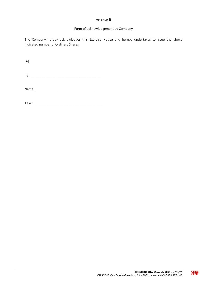#### APPENDIX B

#### Form of acknowledgement by Company

The Company hereby acknowledges this Exercise Notice and hereby undertakes to issue the above indicated number of Ordinary Shares.

 $[•]$ 

By: \_\_\_\_\_\_\_\_\_\_\_\_\_\_\_\_\_\_\_\_\_\_\_\_\_\_\_\_\_\_\_\_\_\_\_\_\_\_\_

Name: \_\_\_\_\_\_\_\_\_\_\_\_\_\_\_\_\_\_\_\_\_\_\_\_\_\_\_\_\_\_\_\_\_\_\_\_

Title: \_\_\_\_\_\_\_\_\_\_\_\_\_\_\_\_\_\_\_\_\_\_\_\_\_\_\_\_\_\_\_\_\_\_\_\_\_\_